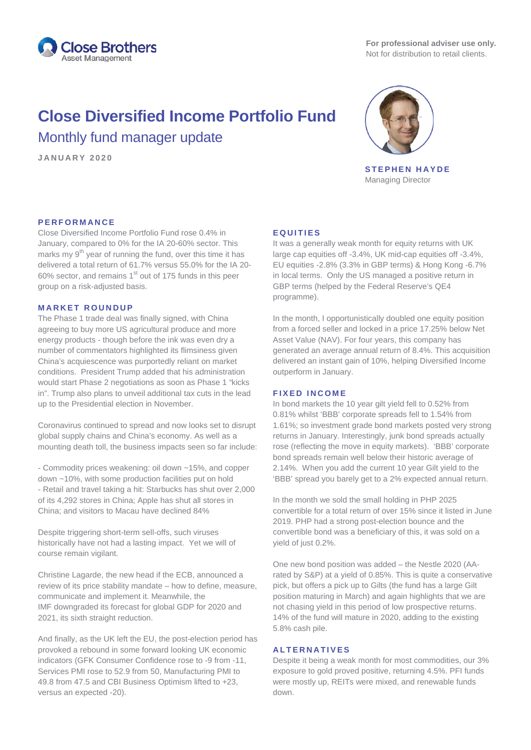

# **Close Diversified Income Portfolio Fund** Monthly fund manager update

**JANUARY 2020**



**STEPHEN HAYDE** Managing Director

## **PERFORMANCE**

Close Diversified Income Portfolio Fund rose 0.4% in January, compared to 0% for the IA 20-60% sector. This marks my  $9<sup>th</sup>$  year of running the fund, over this time it has delivered a total return of 61.7% versus 55.0% for the IA 20- 60% sector, and remains  $1<sup>st</sup>$  out of 175 funds in this peer group on a risk-adjusted basis.

#### **MARKET ROUNDUP**

The Phase 1 trade deal was finally signed, with China agreeing to buy more US agricultural produce and more energy products - though before the ink was even dry a number of commentators highlighted its flimsiness given China's acquiescence was purportedly reliant on market conditions. President Trump added that his administration would start Phase 2 negotiations as soon as Phase 1 "kicks in". Trump also plans to unveil additional tax cuts in the lead up to the Presidential election in November.

Coronavirus continued to spread and now looks set to disrupt global supply chains and China's economy. As well as a mounting death toll, the business impacts seen so far include:

- Commodity prices weakening: oil down ~15%, and copper down ~10%, with some production facilities put on hold - Retail and travel taking a hit: Starbucks has shut over 2,000 of its 4,292 stores in China; Apple has shut all stores in China; and visitors to Macau have declined 84%

Despite triggering short-term sell-offs, such viruses historically have not had a lasting impact. Yet we will of course remain vigilant.

Christine Lagarde, the new head if the ECB, announced a review of its price stability mandate – how to define, measure, communicate and implement it. Meanwhile, the IMF downgraded its forecast for global GDP for 2020 and 2021, its sixth straight reduction.

And finally, as the UK left the EU, the post-election period has provoked a rebound in some forward looking UK economic indicators (GFK Consumer Confidence rose to -9 from -11, Services PMI rose to 52.9 from 50, Manufacturing PMI to 49.8 from 47.5 and CBI Business Optimism lifted to +23, versus an expected -20).

### **EQUITIES**

It was a generally weak month for equity returns with UK large cap equities off -3.4%, UK mid-cap equities off -3.4%, EU equities -2.8% (3.3% in GBP terms) & Hong Kong -6.7% in local terms. Only the US managed a positive return in GBP terms (helped by the Federal Reserve's QE4 programme).

In the month, I opportunistically doubled one equity position from a forced seller and locked in a price 17.25% below Net Asset Value (NAV). For four years, this company has generated an average annual return of 8.4%. This acquisition delivered an instant gain of 10%, helping Diversified Income outperform in January.

#### **FIXED INCOME**

In bond markets the 10 year gilt yield fell to 0.52% from 0.81% whilst 'BBB' corporate spreads fell to 1.54% from 1.61%; so investment grade bond markets posted very strong returns in January. Interestingly, junk bond spreads actually rose (reflecting the move in equity markets). 'BBB' corporate bond spreads remain well below their historic average of 2.14%. When you add the current 10 year Gilt yield to the 'BBB' spread you barely get to a 2% expected annual return.

In the month we sold the small holding in PHP 2025 convertible for a total return of over 15% since it listed in June 2019. PHP had a strong post-election bounce and the convertible bond was a beneficiary of this, it was sold on a yield of just 0.2%.

One new bond position was added – the Nestle 2020 (AArated by S&P) at a yield of 0.85%. This is quite a conservative pick, but offers a pick up to Gilts (the fund has a large Gilt position maturing in March) and again highlights that we are not chasing yield in this period of low prospective returns. 14% of the fund will mature in 2020, adding to the existing 5.8% cash pile.

### **ALTERNATIVES**

Despite it being a weak month for most commodities, our 3% exposure to gold proved positive, returning 4.5%. PFI funds were mostly up, REITs were mixed, and renewable funds down.